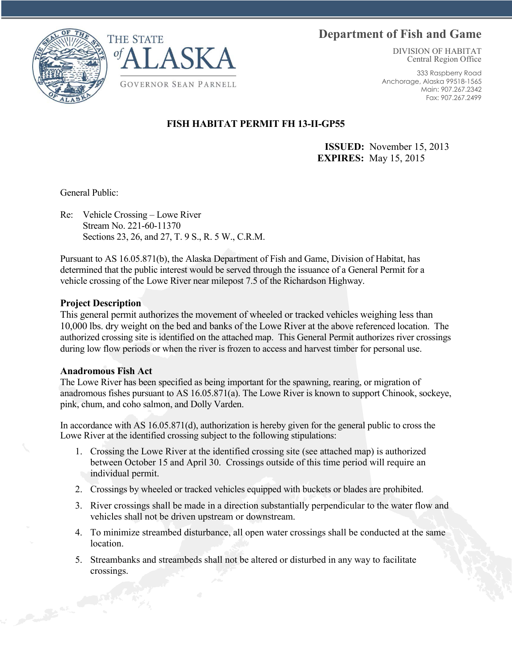# **Department of Fish and Game**





DIVISION OF HABITAT Central Region Office

333 Raspberry Road Anchorage, Alaska 99518-1565 Main: 907.267.2342 Fax: 907.267.2499

### **FISH HABITAT PERMIT FH 13-II-GP55**

 **ISSUED:** November 15, 2013 **EXPIRES:** May 15, 2015

General Public:

Re: Vehicle Crossing – Lowe River Stream No. 221-60-11370 Sections 23, 26, and 27, T. 9 S., R. 5 W., C.R.M.

Pursuant to AS 16.05.871(b), the Alaska Department of Fish and Game, Division of Habitat, has determined that the public interest would be served through the issuance of a General Permit for a vehicle crossing of the Lowe River near milepost 7.5 of the Richardson Highway.

### **Project Description**

This general permit authorizes the movement of wheeled or tracked vehicles weighing less than 10,000 lbs. dry weight on the bed and banks of the Lowe River at the above referenced location. The authorized crossing site is identified on the attached map. This General Permit authorizes river crossings during low flow periods or when the river is frozen to access and harvest timber for personal use.

### **Anadromous Fish Act**

The Lowe River has been specified as being important for the spawning, rearing, or migration of anadromous fishes pursuant to AS 16.05.871(a). The Lowe River is known to support Chinook, sockeye, pink, chum, and coho salmon, and Dolly Varden.

In accordance with AS 16.05.871(d), authorization is hereby given for the general public to cross the Lowe River at the identified crossing subject to the following stipulations:

- 1. Crossing the Lowe River at the identified crossing site (see attached map) is authorized between October 15 and April 30. Crossings outside of this time period will require an individual permit.
- 2. Crossings by wheeled or tracked vehicles equipped with buckets or blades are prohibited.
- 3. River crossings shall be made in a direction substantially perpendicular to the water flow and vehicles shall not be driven upstream or downstream.
- 4. To minimize streambed disturbance, all open water crossings shall be conducted at the same **location**
- 5. Streambanks and streambeds shall not be altered or disturbed in any way to facilitate crossings.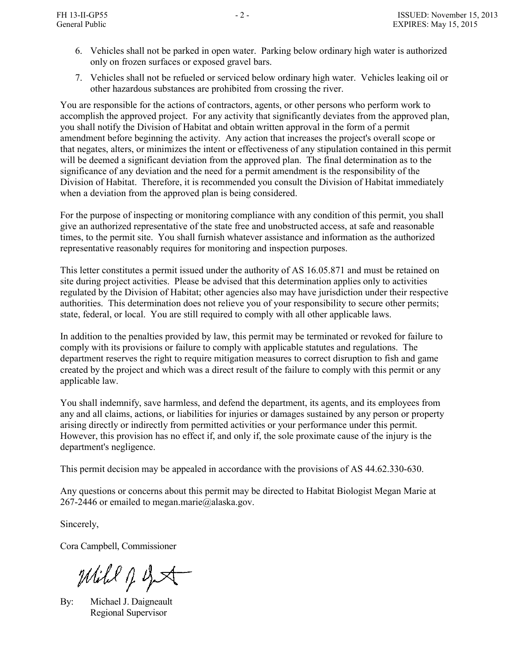- 6. Vehicles shall not be parked in open water. Parking below ordinary high water is authorized only on frozen surfaces or exposed gravel bars.
- 7. Vehicles shall not be refueled or serviced below ordinary high water. Vehicles leaking oil or other hazardous substances are prohibited from crossing the river.

You are responsible for the actions of contractors, agents, or other persons who perform work to accomplish the approved project. For any activity that significantly deviates from the approved plan, you shall notify the Division of Habitat and obtain written approval in the form of a permit amendment before beginning the activity. Any action that increases the project's overall scope or that negates, alters, or minimizes the intent or effectiveness of any stipulation contained in this permit will be deemed a significant deviation from the approved plan. The final determination as to the significance of any deviation and the need for a permit amendment is the responsibility of the Division of Habitat. Therefore, it is recommended you consult the Division of Habitat immediately when a deviation from the approved plan is being considered.

For the purpose of inspecting or monitoring compliance with any condition of this permit, you shall give an authorized representative of the state free and unobstructed access, at safe and reasonable times, to the permit site. You shall furnish whatever assistance and information as the authorized representative reasonably requires for monitoring and inspection purposes.

This letter constitutes a permit issued under the authority of AS 16.05.871 and must be retained on site during project activities. Please be advised that this determination applies only to activities regulated by the Division of Habitat; other agencies also may have jurisdiction under their respective authorities. This determination does not relieve you of your responsibility to secure other permits; state, federal, or local. You are still required to comply with all other applicable laws.

In addition to the penalties provided by law, this permit may be terminated or revoked for failure to comply with its provisions or failure to comply with applicable statutes and regulations. The department reserves the right to require mitigation measures to correct disruption to fish and game created by the project and which was a direct result of the failure to comply with this permit or any applicable law.

You shall indemnify, save harmless, and defend the department, its agents, and its employees from any and all claims, actions, or liabilities for injuries or damages sustained by any person or property arising directly or indirectly from permitted activities or your performance under this permit. However, this provision has no effect if, and only if, the sole proximate cause of the injury is the department's negligence.

This permit decision may be appealed in accordance with the provisions of AS 44.62.330-630.

Any questions or concerns about this permit may be directed to Habitat Biologist Megan Marie at 267-2446 or emailed to megan.marie@alaska.gov.

Sincerely,

Cora Campbell, Commissioner

Mill J get

By: Michael J. Daigneault Regional Supervisor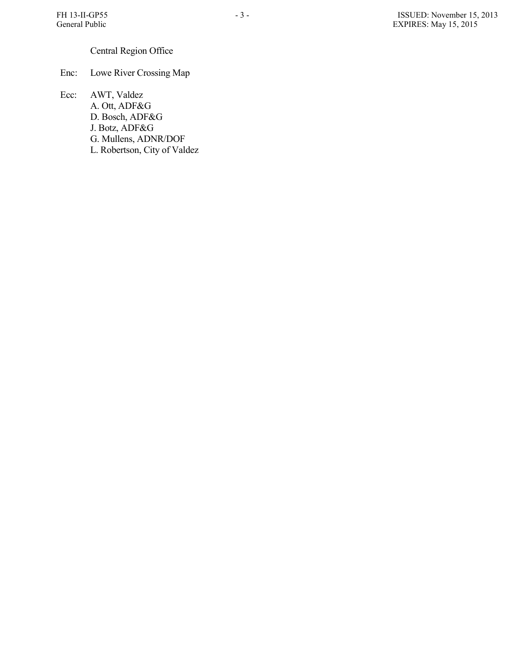## Central Region Office

Enc: Lowe River Crossing Map

Ecc: AWT, Valdez A. Ott, ADF&G D. Bosch, ADF&G J. Botz, ADF&G G. Mullens, ADNR/DOF L. Robertson, City of Valdez